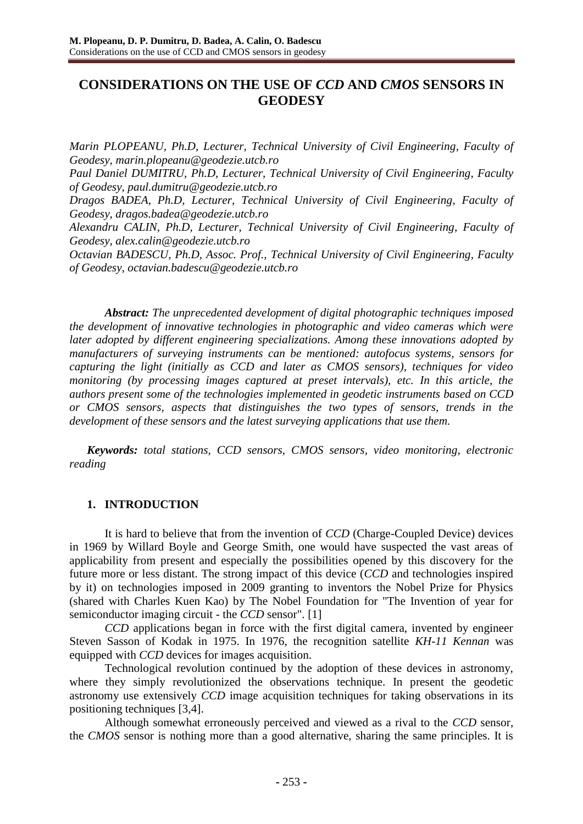# **CONSIDERATIONS ON THE USE OF** *CCD* **AND** *CMOS* **SENSORS IN GEODESY**

*Marin PLOPEANU, Ph.D, Lecturer, Technical University of Civil Engineering, Faculty of Geodesy, [marin.plopeanu@geodezie.utcb.ro](mailto:marin.plopeanu@geodezie.utcb.ro) Paul Daniel DUMITRU, Ph.D, Lecturer, Technical University of Civil Engineering, Faculty of Geodesy, [paul.dumitru@geodezie.utcb.ro](mailto:paul.dumitru@geodezie.utcb.ro) Dragos BADEA, Ph.D, Lecturer, Technical University of Civil Engineering, Faculty of Geodesy, [dragos.badea@geodezie.utcb.ro](mailto:dragos.badea@geodezie.utcb.ro) Alexandru CALIN, Ph.D, Lecturer, Technical University of Civil Engineering, Faculty of Geodesy, [alex.calin@geodezie.utcb.ro](mailto:alex.calin@geodezie.utcb.ro) Octavian BADESCU, Ph.D, Assoc. Prof., Technical University of Civil Engineering, Faculty of Geodesy, [octavian.badescu@geodezie.utcb.ro](mailto:octavian.badescu@geodezie.utcb.ro)*

*Abstract: The unprecedented development of digital photographic techniques imposed the development of innovative technologies in photographic and video cameras which were later adopted by different engineering specializations. Among these innovations adopted by manufacturers of surveying instruments can be mentioned: autofocus systems, sensors for capturing the light (initially as CCD and later as CMOS sensors), techniques for video monitoring (by processing images captured at preset intervals), etc. In this article, the authors present some of the technologies implemented in geodetic instruments based on CCD or CMOS sensors, aspects that distinguishes the two types of sensors, trends in the development of these sensors and the latest surveying applications that use them.*

*Keywords: total stations, CCD sensors, CMOS sensors, video monitoring, electronic reading*

# **1. INTRODUCTION**

It is hard to believe that from the invention of *CCD* (Charge-Coupled Device) devices in 1969 by Willard Boyle and George Smith, one would have suspected the vast areas of applicability from present and especially the possibilities opened by this discovery for the future more or less distant. The strong impact of this device (*CCD* and technologies inspired by it) on technologies imposed in 2009 granting to inventors the Nobel Prize for Physics (shared with Charles Kuen Kao) by The Nobel Foundation for "The Invention of year for semiconductor imaging circuit - the *CCD* sensor". [1]

*CCD* applications began in force with the first digital camera, invented by engineer Steven Sasson of Kodak in 1975. In 1976, the recognition satellite *KH-11 Kennan* was equipped with *CCD* devices for images acquisition.

Technological revolution continued by the adoption of these devices in astronomy, where they simply revolutionized the observations technique. In present the geodetic astronomy use extensively *CCD* image acquisition techniques for taking observations in its positioning techniques [3,4].

Although somewhat erroneously perceived and viewed as a rival to the *CCD* sensor, the *CMOS* sensor is nothing more than a good alternative, sharing the same principles. It is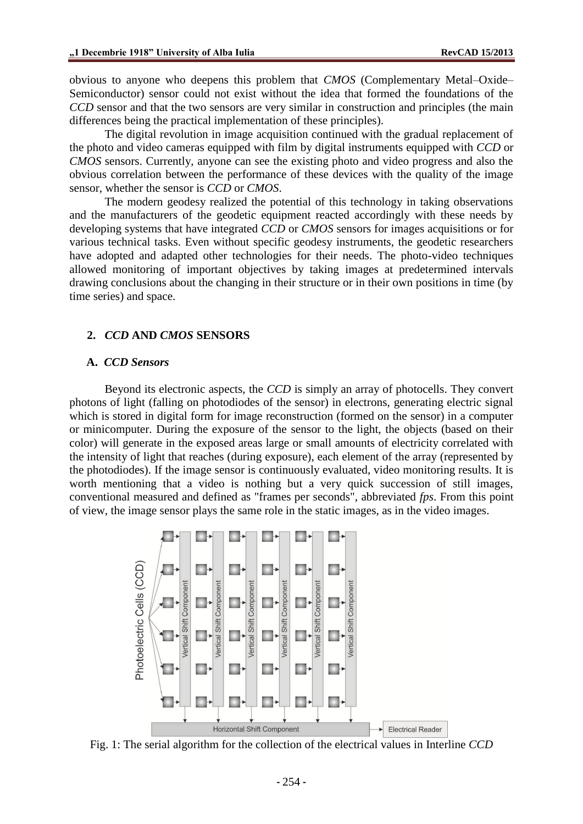obvious to anyone who deepens this problem that *CMOS* (Complementary Metal–Oxide– Semiconductor) sensor could not exist without the idea that formed the foundations of the *CCD* sensor and that the two sensors are very similar in construction and principles (the main differences being the practical implementation of these principles).

The digital revolution in image acquisition continued with the gradual replacement of the photo and video cameras equipped with film by digital instruments equipped with *CCD* or *CMOS* sensors. Currently, anyone can see the existing photo and video progress and also the obvious correlation between the performance of these devices with the quality of the image sensor, whether the sensor is *CCD* or *CMOS*.

The modern geodesy realized the potential of this technology in taking observations and the manufacturers of the geodetic equipment reacted accordingly with these needs by developing systems that have integrated *CCD* or *CMOS* sensors for images acquisitions or for various technical tasks. Even without specific geodesy instruments, the geodetic researchers have adopted and adapted other technologies for their needs. The photo-video techniques allowed monitoring of important objectives by taking images at predetermined intervals drawing conclusions about the changing in their structure or in their own positions in time (by time series) and space.

#### **2.** *CCD* **AND** *CMOS* **SENSORS**

#### **A.** *CCD Sensors*

Beyond its electronic aspects, the *CCD* is simply an array of photocells. They convert photons of light (falling on photodiodes of the sensor) in electrons, generating electric signal which is stored in digital form for image reconstruction (formed on the sensor) in a computer or minicomputer. During the exposure of the sensor to the light, the objects (based on their color) will generate in the exposed areas large or small amounts of electricity correlated with the intensity of light that reaches (during exposure), each element of the array (represented by the photodiodes). If the image sensor is continuously evaluated, video monitoring results. It is worth mentioning that a video is nothing but a very quick succession of still images, conventional measured and defined as "frames per seconds", abbreviated *fps*. From this point of view, the image sensor plays the same role in the static images, as in the video images.



Fig. 1: The serial algorithm for the collection of the electrical values in Interline *CCD*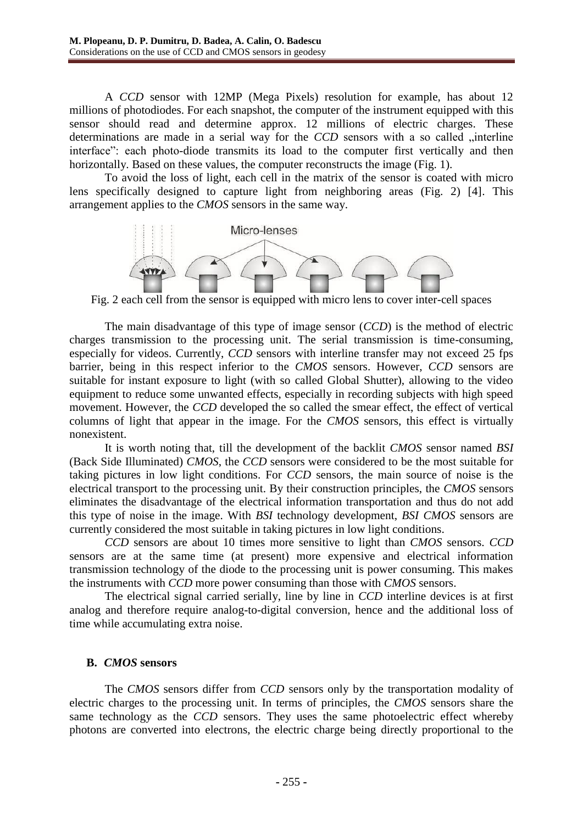A *CCD* sensor with 12MP (Mega Pixels) resolution for example, has about 12 millions of photodiodes. For each snapshot, the computer of the instrument equipped with this sensor should read and determine approx. 12 millions of electric charges. These determinations are made in a serial way for the *CCD* sensors with a so called "interline interface": each photo-diode transmits its load to the computer first vertically and then horizontally. Based on these values, the computer reconstructs the image (Fig. 1).

To avoid the loss of light, each cell in the matrix of the sensor is coated with micro lens specifically designed to capture light from neighboring areas (Fig. 2) [4]. This arrangement applies to the *CMOS* sensors in the same way.



Fig. 2 each cell from the sensor is equipped with micro lens to cover inter-cell spaces

The main disadvantage of this type of image sensor (*CCD*) is the method of electric charges transmission to the processing unit. The serial transmission is time-consuming, especially for videos. Currently, *CCD* sensors with interline transfer may not exceed 25 fps barrier, being in this respect inferior to the *CMOS* sensors. However, *CCD* sensors are suitable for instant exposure to light (with so called Global Shutter), allowing to the video equipment to reduce some unwanted effects, especially in recording subjects with high speed movement. However, the *CCD* developed the so called the smear effect, the effect of vertical columns of light that appear in the image. For the *CMOS* sensors, this effect is virtually nonexistent.

It is worth noting that, till the development of the backlit *CMOS* sensor named *BSI* (Back Side Illuminated) *CMOS*, the *CCD* sensors were considered to be the most suitable for taking pictures in low light conditions. For *CCD* sensors, the main source of noise is the electrical transport to the processing unit. By their construction principles, the *CMOS* sensors eliminates the disadvantage of the electrical information transportation and thus do not add this type of noise in the image. With *BSI* technology development, *BSI CMOS* sensors are currently considered the most suitable in taking pictures in low light conditions.

*CCD* sensors are about 10 times more sensitive to light than *CMOS* sensors. *CCD* sensors are at the same time (at present) more expensive and electrical information transmission technology of the diode to the processing unit is power consuming. This makes the instruments with *CCD* more power consuming than those with *CMOS* sensors.

The electrical signal carried serially, line by line in *CCD* interline devices is at first analog and therefore require analog-to-digital conversion, hence and the additional loss of time while accumulating extra noise.

# **B.** *CMOS* **sensors**

The *CMOS* sensors differ from *CCD* sensors only by the transportation modality of electric charges to the processing unit. In terms of principles, the *CMOS* sensors share the same technology as the *CCD* sensors. They uses the same photoelectric effect whereby photons are converted into electrons, the electric charge being directly proportional to the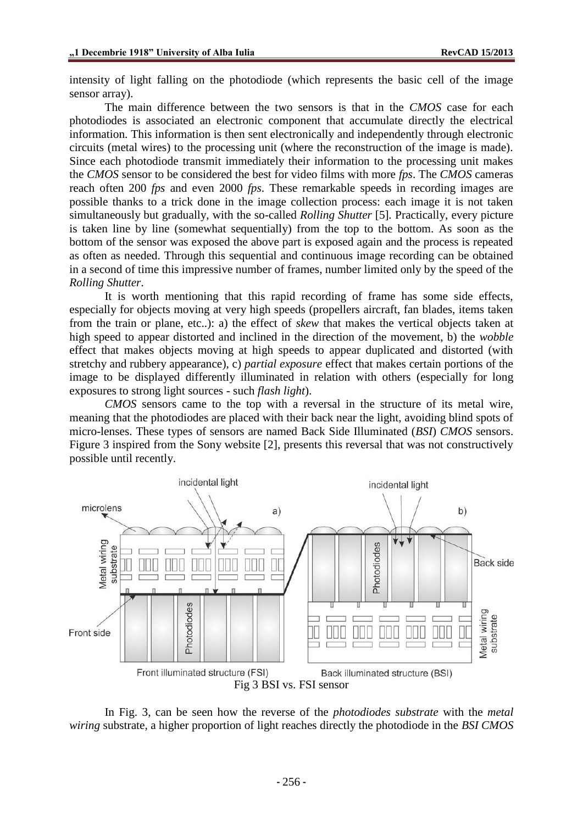intensity of light falling on the photodiode (which represents the basic cell of the image sensor array).

The main difference between the two sensors is that in the *CMOS* case for each photodiodes is associated an electronic component that accumulate directly the electrical information. This information is then sent electronically and independently through electronic circuits (metal wires) to the processing unit (where the reconstruction of the image is made). Since each photodiode transmit immediately their information to the processing unit makes the *CMOS* sensor to be considered the best for video films with more *fps*. The *CMOS* cameras reach often 200 *fps* and even 2000 *fps*. These remarkable speeds in recording images are possible thanks to a trick done in the image collection process: each image it is not taken simultaneously but gradually, with the so-called *Rolling Shutter* [5]*.* Practically, every picture is taken line by line (somewhat sequentially) from the top to the bottom. As soon as the bottom of the sensor was exposed the above part is exposed again and the process is repeated as often as needed. Through this sequential and continuous image recording can be obtained in a second of time this impressive number of frames, number limited only by the speed of the *Rolling Shutter*.

It is worth mentioning that this rapid recording of frame has some side effects, especially for objects moving at very high speeds (propellers aircraft, fan blades, items taken from the train or plane, etc..): a) the effect of *skew* that makes the vertical objects taken at high speed to appear distorted and inclined in the direction of the movement, b) the *wobble* effect that makes objects moving at high speeds to appear duplicated and distorted (with stretchy and rubbery appearance), c) *partial exposure* effect that makes certain portions of the image to be displayed differently illuminated in relation with others (especially for long exposures to strong light sources - such *flash light*).

*CMOS* sensors came to the top with a reversal in the structure of its metal wire, meaning that the photodiodes are placed with their back near the light, avoiding blind spots of micro-lenses. These types of sensors are named Back Side Illuminated (*BSI*) *CMOS* sensors. Figure 3 inspired from the Sony website [2], presents this reversal that was not constructively possible until recently.



In Fig. 3, can be seen how the reverse of the *photodiodes substrate* with the *metal wiring* substrate, a higher proportion of light reaches directly the photodiode in the *BSI CMOS*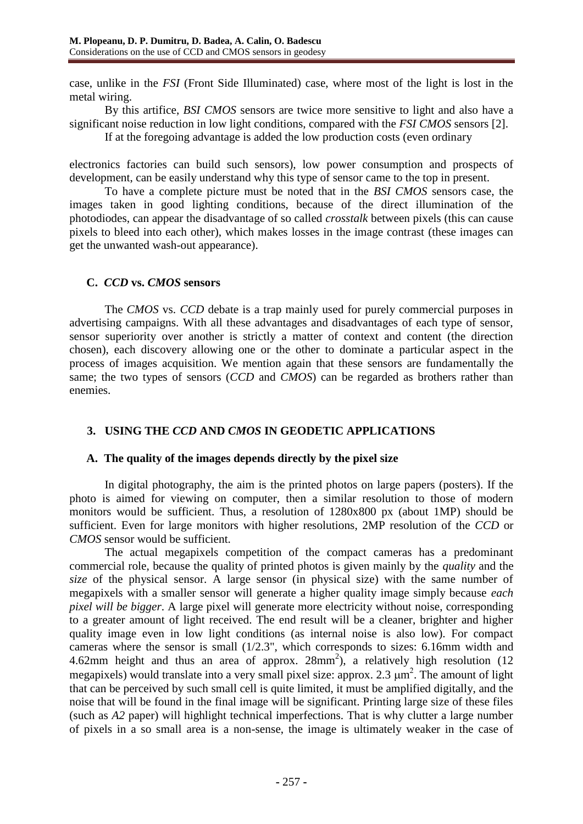case, unlike in the *FSI* (Front Side Illuminated) case, where most of the light is lost in the metal wiring.

By this artifice, *BSI CMOS* sensors are twice more sensitive to light and also have a significant noise reduction in low light conditions, compared with the *FSI CMOS* sensors [2].

If at the foregoing advantage is added the low production costs (even ordinary

electronics factories can build such sensors), low power consumption and prospects of development, can be easily understand why this type of sensor came to the top in present.

To have a complete picture must be noted that in the *BSI CMOS* sensors case, the images taken in good lighting conditions, because of the direct illumination of the photodiodes, can appear the disadvantage of so called *crosstalk* between pixels (this can cause pixels to bleed into each other), which makes losses in the image contrast (these images can get the unwanted wash-out appearance).

#### **C.** *CCD* **vs.** *CMOS* **sensors**

The *CMOS* vs. *CCD* debate is a trap mainly used for purely commercial purposes in advertising campaigns. With all these advantages and disadvantages of each type of sensor, sensor superiority over another is strictly a matter of context and content (the direction chosen), each discovery allowing one or the other to dominate a particular aspect in the process of images acquisition. We mention again that these sensors are fundamentally the same; the two types of sensors (*CCD* and *CMOS*) can be regarded as brothers rather than enemies.

# **3. USING THE** *CCD* **AND** *CMOS* **IN GEODETIC APPLICATIONS**

# **A. The quality of the images depends directly by the pixel size**

In digital photography, the aim is the printed photos on large papers (posters). If the photo is aimed for viewing on computer, then a similar resolution to those of modern monitors would be sufficient. Thus, a resolution of 1280x800 px (about 1MP) should be sufficient. Even for large monitors with higher resolutions, 2MP resolution of the *CCD* or *CMOS* sensor would be sufficient.

The actual megapixels competition of the compact cameras has a predominant commercial role, because the quality of printed photos is given mainly by the *quality* and the *size* of the physical sensor. A large sensor (in physical size) with the same number of megapixels with a smaller sensor will generate a higher quality image simply because *each pixel will be bigger*. A large pixel will generate more electricity without noise, corresponding to a greater amount of light received. The end result will be a cleaner, brighter and higher quality image even in low light conditions (as internal noise is also low). For compact cameras where the sensor is small (1/2.3", which corresponds to sizes: 6.16mm width and 4.62mm height and thus an area of approx.  $28mm^2$ ), a relatively high resolution (12) megapixels) would translate into a very small pixel size: approx. 2.3  $\mu$ m<sup>2</sup>. The amount of light that can be perceived by such small cell is quite limited, it must be amplified digitally, and the noise that will be found in the final image will be significant. Printing large size of these files (such as *A2* paper) will highlight technical imperfections. That is why clutter a large number of pixels in a so small area is a non-sense, the image is ultimately weaker in the case of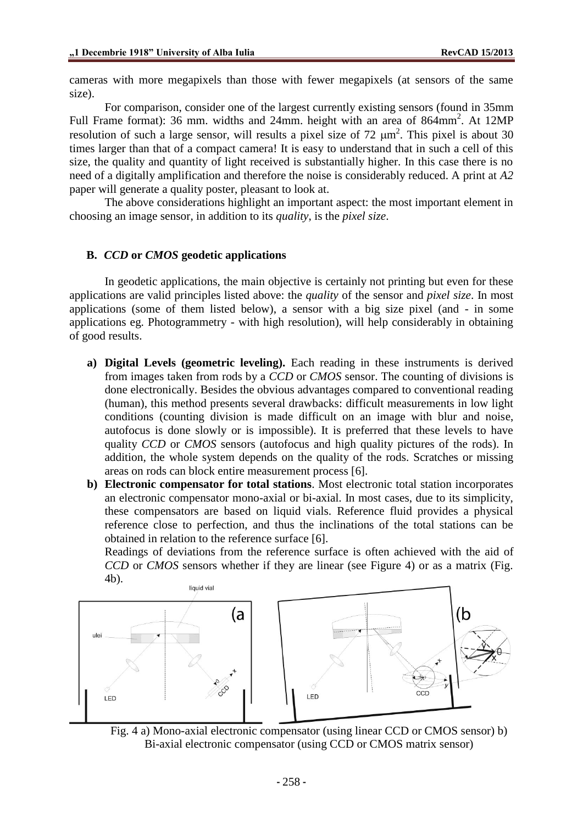cameras with more megapixels than those with fewer megapixels (at sensors of the same size).

For comparison, consider one of the largest currently existing sensors (found in 35mm Full Frame format): 36 mm. widths and 24mm. height with an area of 864mm<sup>2</sup>. At 12MP resolution of such a large sensor, will results a pixel size of 72  $\mu$ m<sup>2</sup>. This pixel is about 30 times larger than that of a compact camera! It is easy to understand that in such a cell of this size, the quality and quantity of light received is substantially higher. In this case there is no need of a digitally amplification and therefore the noise is considerably reduced. A print at *A2*  paper will generate a quality poster, pleasant to look at.

The above considerations highlight an important aspect: the most important element in choosing an image sensor, in addition to its *quality*, is the *pixel size*.

#### **B.** *CCD* **or** *CMOS* **geodetic applications**

In geodetic applications, the main objective is certainly not printing but even for these applications are valid principles listed above: the *quality* of the sensor and *pixel size*. In most applications (some of them listed below), a sensor with a big size pixel (and - in some applications eg. Photogrammetry - with high resolution), will help considerably in obtaining of good results.

- **a) Digital Levels (geometric leveling).** Each reading in these instruments is derived from images taken from rods by a *CCD* or *CMOS* sensor. The counting of divisions is done electronically. Besides the obvious advantages compared to conventional reading (human), this method presents several drawbacks: difficult measurements in low light conditions (counting division is made difficult on an image with blur and noise, autofocus is done slowly or is impossible). It is preferred that these levels to have quality *CCD* or *CMOS* sensors (autofocus and high quality pictures of the rods). In addition, the whole system depends on the quality of the rods. Scratches or missing areas on rods can block entire measurement process [6].
- **b) Electronic compensator for total stations**. Most electronic total station incorporates an electronic compensator mono-axial or bi-axial. In most cases, due to its simplicity, these compensators are based on liquid vials. Reference fluid provides a physical reference close to perfection, and thus the inclinations of the total stations can be obtained in relation to the reference surface [6].

Readings of deviations from the reference surface is often achieved with the aid of *CCD* or *CMOS* sensors whether if they are linear (see Figure 4) or as a matrix (Fig. 4b).



Fig. 4 a) Mono-axial electronic compensator (using linear CCD or CMOS sensor) b) Bi-axial electronic compensator (using CCD or CMOS matrix sensor)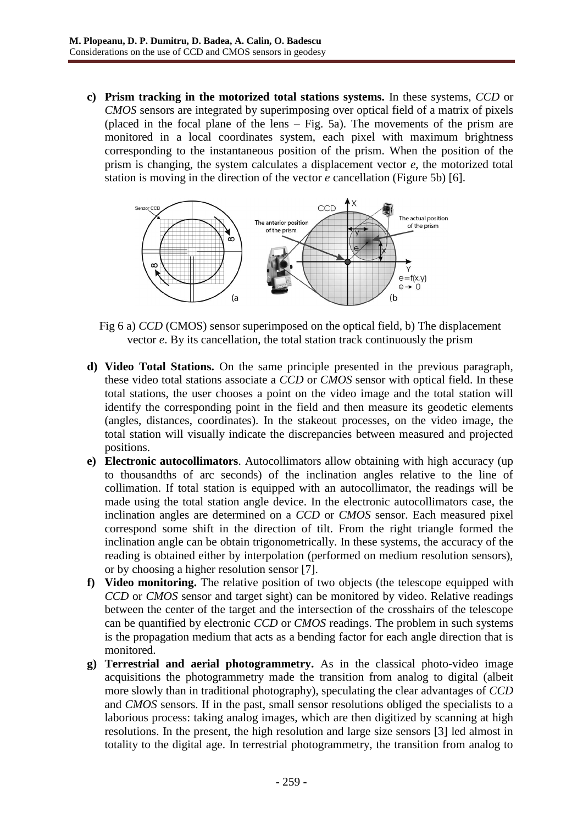**c) Prism tracking in the motorized total stations systems.** In these systems, *CCD* or *CMOS* sensors are integrated by superimposing over optical field of a matrix of pixels (placed in the focal plane of the lens – Fig. 5a). The movements of the prism are monitored in a local coordinates system, each pixel with maximum brightness corresponding to the instantaneous position of the prism. When the position of the prism is changing, the system calculates a displacement vector *e*, the motorized total station is moving in the direction of the vector *e* cancellation (Figure 5b) [6].



Fig 6 a) *CCD* (CMOS) sensor superimposed on the optical field, b) The displacement vector *e*. By its cancellation, the total station track continuously the prism

- **d) Video Total Stations.** On the same principle presented in the previous paragraph, these video total stations associate a *CCD* or *CMOS* sensor with optical field. In these total stations, the user chooses a point on the video image and the total station will identify the corresponding point in the field and then measure its geodetic elements (angles, distances, coordinates). In the stakeout processes, on the video image, the total station will visually indicate the discrepancies between measured and projected positions.
- **e) Electronic autocollimators**. Autocollimators allow obtaining with high accuracy (up to thousandths of arc seconds) of the inclination angles relative to the line of collimation. If total station is equipped with an autocollimator, the readings will be made using the total station angle device. In the electronic autocollimators case, the inclination angles are determined on a *CCD* or *CMOS* sensor. Each measured pixel correspond some shift in the direction of tilt. From the right triangle formed the inclination angle can be obtain trigonometrically. In these systems, the accuracy of the reading is obtained either by interpolation (performed on medium resolution sensors), or by choosing a higher resolution sensor [7].
- **f) Video monitoring.** The relative position of two objects (the telescope equipped with *CCD* or *CMOS* sensor and target sight) can be monitored by video. Relative readings between the center of the target and the intersection of the crosshairs of the telescope can be quantified by electronic *CCD* or *CMOS* readings. The problem in such systems is the propagation medium that acts as a bending factor for each angle direction that is monitored.
- **g) Terrestrial and aerial photogrammetry.** As in the classical photo-video image acquisitions the photogrammetry made the transition from analog to digital (albeit more slowly than in traditional photography), speculating the clear advantages of *CCD* and *CMOS* sensors. If in the past, small sensor resolutions obliged the specialists to a laborious process: taking analog images, which are then digitized by scanning at high resolutions. In the present, the high resolution and large size sensors [3] led almost in totality to the digital age. In terrestrial photogrammetry, the transition from analog to